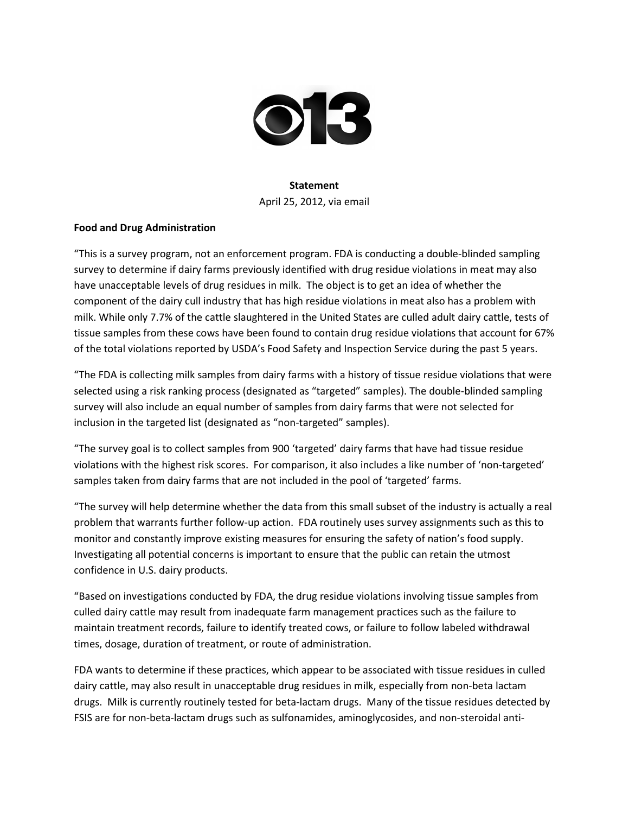

## **Statement**

April 25, 2012, via email

## **Food and Drug Administration**

"This is a survey program, not an enforcement program. FDA is conducting a double-blinded sampling survey to determine if dairy farms previously identified with drug residue violations in meat may also have unacceptable levels of drug residues in milk. The object is to get an idea of whether the component of the dairy cull industry that has high residue violations in meat also has a problem with milk. While only 7.7% of the cattle slaughtered in the United States are culled adult dairy cattle, tests of tissue samples from these cows have been found to contain drug residue violations that account for 67% of the total violations reported by USDA's Food Safety and Inspection Service during the past 5 years.

"The FDA is collecting milk samples from dairy farms with a history of tissue residue violations that were selected using a risk ranking process (designated as "targeted" samples). The double-blinded sampling survey will also include an equal number of samples from dairy farms that were not selected for inclusion in the targeted list (designated as "non-targeted" samples).

"The survey goal is to collect samples from 900 'targeted' dairy farms that have had tissue residue violations with the highest risk scores. For comparison, it also includes a like number of 'non-targeted' samples taken from dairy farms that are not included in the pool of 'targeted' farms.

"The survey will help determine whether the data from this small subset of the industry is actually a real problem that warrants further follow-up action. FDA routinely uses survey assignments such as this to monitor and constantly improve existing measures for ensuring the safety of nation's food supply. Investigating all potential concerns is important to ensure that the public can retain the utmost confidence in U.S. dairy products.

"Based on investigations conducted by FDA, the drug residue violations involving tissue samples from culled dairy cattle may result from inadequate farm management practices such as the failure to maintain treatment records, failure to identify treated cows, or failure to follow labeled withdrawal times, dosage, duration of treatment, or route of administration.

FDA wants to determine if these practices, which appear to be associated with tissue residues in culled dairy cattle, may also result in unacceptable drug residues in milk, especially from non-beta lactam drugs. Milk is currently routinely tested for beta-lactam drugs. Many of the tissue residues detected by FSIS are for non-beta-lactam drugs such as sulfonamides, aminoglycosides, and non-steroidal anti